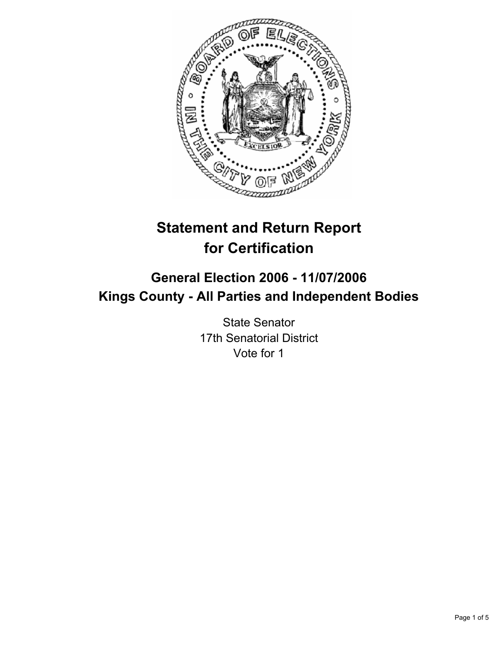

# **Statement and Return Report for Certification**

## **General Election 2006 - 11/07/2006 Kings County - All Parties and Independent Bodies**

State Senator 17th Senatorial District Vote for 1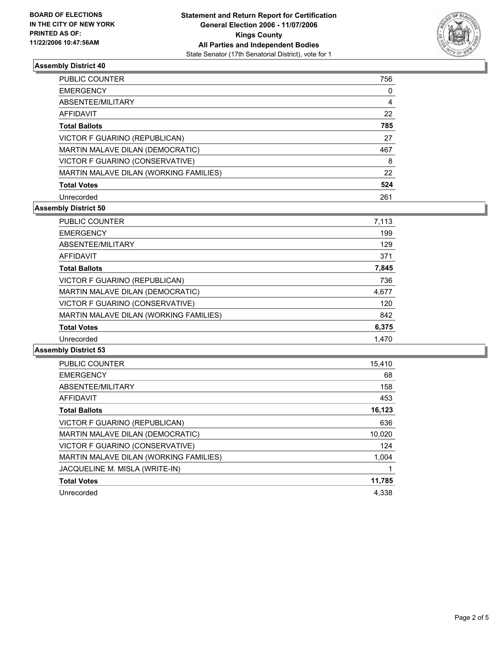

## **Assembly District 40**

| <b>PUBLIC COUNTER</b>                  | 756 |  |
|----------------------------------------|-----|--|
| <b>EMERGENCY</b>                       |     |  |
| ABSENTEE/MILITARY                      | 4   |  |
| AFFIDAVIT                              | 22  |  |
| <b>Total Ballots</b>                   | 785 |  |
| VICTOR F GUARINO (REPUBLICAN)          | 27  |  |
| MARTIN MALAVE DILAN (DEMOCRATIC)       | 467 |  |
| VICTOR F GUARINO (CONSERVATIVE)        | 8   |  |
| MARTIN MALAVE DILAN (WORKING FAMILIES) | 22  |  |
| <b>Total Votes</b>                     | 524 |  |
| Unrecorded                             | 261 |  |

## **Assembly District 50**

| PUBLIC COUNTER                         | 7,113 |
|----------------------------------------|-------|
| <b>EMERGENCY</b>                       | 199   |
| ABSENTEE/MILITARY                      | 129   |
| AFFIDAVIT                              | 371   |
| <b>Total Ballots</b>                   | 7,845 |
| VICTOR F GUARINO (REPUBLICAN)          | 736   |
| MARTIN MALAVE DILAN (DEMOCRATIC)       | 4,677 |
| VICTOR F GUARINO (CONSERVATIVE)        | 120   |
| MARTIN MALAVE DILAN (WORKING FAMILIES) | 842   |
| <b>Total Votes</b>                     | 6,375 |
| Unrecorded                             | 1,470 |

#### **Assembly District 53**

| <b>PUBLIC COUNTER</b>                  | 15,410 |
|----------------------------------------|--------|
| <b>EMERGENCY</b>                       | 68     |
| ABSENTEE/MILITARY                      | 158    |
| AFFIDAVIT                              | 453    |
| <b>Total Ballots</b>                   | 16,123 |
| VICTOR F GUARINO (REPUBLICAN)          | 636    |
| MARTIN MALAVE DILAN (DEMOCRATIC)       | 10,020 |
| VICTOR F GUARINO (CONSERVATIVE)        | 124    |
| MARTIN MALAVE DILAN (WORKING FAMILIES) | 1,004  |
| JACQUELINE M. MISLA (WRITE-IN)         |        |
| <b>Total Votes</b>                     | 11,785 |
| Unrecorded                             | 4.338  |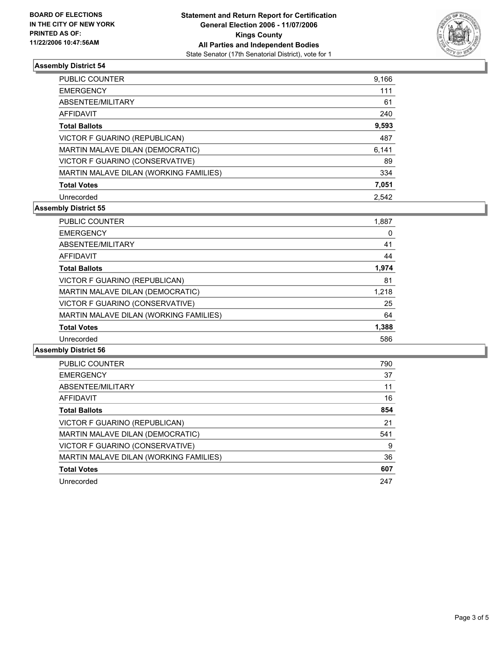

## **Assembly District 54**

| <b>PUBLIC COUNTER</b>                  | 9,166 |
|----------------------------------------|-------|
| <b>EMERGENCY</b>                       | 111   |
| ABSENTEE/MILITARY                      | 61    |
| AFFIDAVIT                              | 240   |
| <b>Total Ballots</b>                   | 9,593 |
| VICTOR F GUARINO (REPUBLICAN)          | 487   |
| MARTIN MALAVE DILAN (DEMOCRATIC)       | 6,141 |
| VICTOR F GUARINO (CONSERVATIVE)        | 89    |
| MARTIN MALAVE DILAN (WORKING FAMILIES) | 334   |
| <b>Total Votes</b>                     | 7,051 |
| Unrecorded                             | 2.542 |

## **Assembly District 55**

| PUBLIC COUNTER                         | 1,887 |  |
|----------------------------------------|-------|--|
| <b>EMERGENCY</b>                       | 0     |  |
| ABSENTEE/MILITARY                      | 41    |  |
| AFFIDAVIT                              | 44    |  |
| <b>Total Ballots</b>                   | 1,974 |  |
| VICTOR F GUARINO (REPUBLICAN)          | 81    |  |
| MARTIN MALAVE DILAN (DEMOCRATIC)       | 1,218 |  |
| VICTOR F GUARINO (CONSERVATIVE)        | 25    |  |
| MARTIN MALAVE DILAN (WORKING FAMILIES) | 64    |  |
| <b>Total Votes</b>                     | 1,388 |  |
| Unrecorded                             | 586   |  |

#### **Assembly District 56**

| <b>PUBLIC COUNTER</b>                  | 790 |
|----------------------------------------|-----|
| <b>EMERGENCY</b>                       | 37  |
| ABSENTEE/MILITARY                      | 11  |
| AFFIDAVIT                              | 16  |
| <b>Total Ballots</b>                   | 854 |
| VICTOR F GUARINO (REPUBLICAN)          | 21  |
| MARTIN MALAVE DILAN (DEMOCRATIC)       | 541 |
| VICTOR F GUARINO (CONSERVATIVE)        | 9   |
| MARTIN MALAVE DILAN (WORKING FAMILIES) | 36  |
| <b>Total Votes</b>                     | 607 |
| Unrecorded                             | 247 |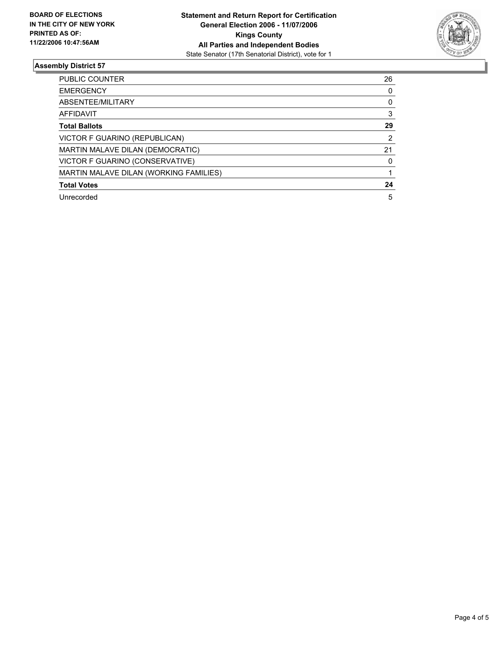

## **Assembly District 57**

| PUBLIC COUNTER                         | 26 |  |
|----------------------------------------|----|--|
| <b>EMERGENCY</b>                       |    |  |
| ABSENTEE/MILITARY                      |    |  |
| AFFIDAVIT                              |    |  |
| <b>Total Ballots</b>                   | 29 |  |
| VICTOR F GUARINO (REPUBLICAN)          | 2  |  |
| MARTIN MALAVE DILAN (DEMOCRATIC)       | 21 |  |
| VICTOR F GUARINO (CONSERVATIVE)        |    |  |
| MARTIN MALAVE DILAN (WORKING FAMILIES) |    |  |
| <b>Total Votes</b>                     | 24 |  |
| Unrecorded                             | 5  |  |